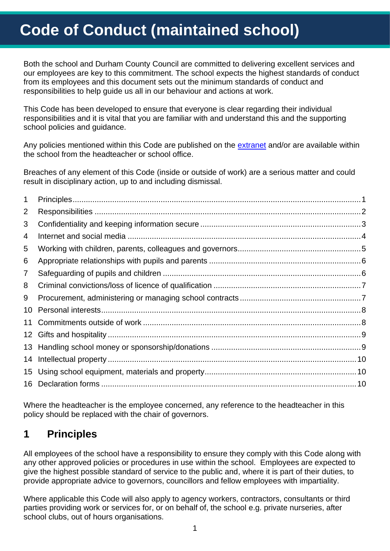# **Code of Conduct (maintained school)**

Both the school and Durham County Council are committed to delivering excellent services and our employees are key to this commitment. The school expects the highest standards of conduct from its employees and this document sets out the minimum standards of conduct and responsibilities to help guide us all in our behaviour and actions at work.

This Code has been developed to ensure that everyone is clear regarding their individual responsibilities and it is vital that you are familiar with and understand this and the supporting school policies and guidance.

Any policies mentioned within this Code are published on the [extranet](https://gateway.durhamschools.org.uk/staff/hradvice/default.aspx) and/or are available within the school from the headteacher or school office.

Breaches of any element of this Code (inside or outside of work) are a serious matter and could result in disciplinary action, up to and including dismissal.

| 1               |  |
|-----------------|--|
| 2               |  |
| 3               |  |
| 4               |  |
| 5               |  |
| 6               |  |
| $\overline{7}$  |  |
| 8               |  |
| 9               |  |
| 10              |  |
| 11              |  |
| 12 <sup>1</sup> |  |
|                 |  |
| 14              |  |
| 15              |  |
| 16              |  |

Where the headteacher is the employee concerned, any reference to the headteacher in this policy should be replaced with the chair of governors.

### <span id="page-0-0"></span>**1 Principles**

All employees of the school have a responsibility to ensure they comply with this Code along with any other approved policies or procedures in use within the school. Employees are expected to give the highest possible standard of service to the public and, where it is part of their duties, to provide appropriate advice to governors, councillors and fellow employees with impartiality.

Where applicable this Code will also apply to agency workers, contractors, consultants or third parties providing work or services for, or on behalf of, the school e.g. private nurseries, after school clubs, out of hours organisations.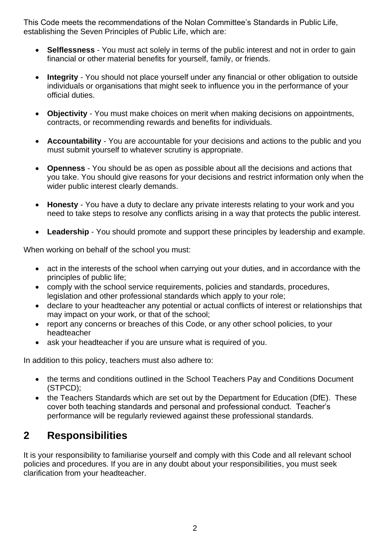This Code meets the recommendations of the Nolan Committee's Standards in Public Life, establishing the Seven Principles of Public Life, which are:

- **Selflessness**  You must act solely in terms of the public interest and not in order to gain financial or other material benefits for yourself, family, or friends.
- **Integrity**  You should not place yourself under any financial or other obligation to outside individuals or organisations that might seek to influence you in the performance of your official duties.
- **Objectivity**  You must make choices on merit when making decisions on appointments, contracts, or recommending rewards and benefits for individuals.
- **Accountability**  You are accountable for your decisions and actions to the public and you must submit yourself to whatever scrutiny is appropriate.
- **Openness**  You should be as open as possible about all the decisions and actions that you take. You should give reasons for your decisions and restrict information only when the wider public interest clearly demands.
- **Honesty**  You have a duty to declare any private interests relating to your work and you need to take steps to resolve any conflicts arising in a way that protects the public interest.
- **Leadership** You should promote and support these principles by leadership and example.

When working on behalf of the school you must:

- act in the interests of the school when carrying out your duties, and in accordance with the principles of public life;
- comply with the school service requirements, policies and standards, procedures, legislation and other professional standards which apply to your role;
- declare to your headteacher any potential or actual conflicts of interest or relationships that may impact on your work, or that of the school;
- report any concerns or breaches of this Code, or any other school policies, to your headteacher
- ask your headteacher if you are unsure what is required of you.

In addition to this policy, teachers must also adhere to:

- the terms and conditions outlined in the School Teachers Pay and Conditions Document (STPCD);
- the Teachers Standards which are set out by the Department for Education (DfE). These cover both teaching standards and personal and professional conduct. Teacher's performance will be regularly reviewed against these professional standards.

### <span id="page-1-0"></span>**2 Responsibilities**

It is your responsibility to familiarise yourself and comply with this Code and all relevant school policies and procedures. If you are in any doubt about your responsibilities, you must seek clarification from your headteacher.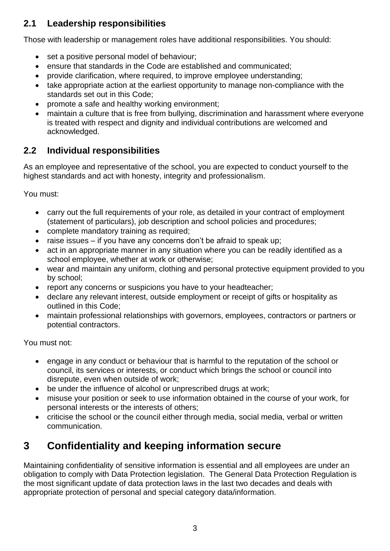#### **2.1 Leadership responsibilities**

Those with leadership or management roles have additional responsibilities. You should:

- set a positive personal model of behaviour;
- ensure that standards in the Code are established and communicated;
- provide clarification, where required, to improve employee understanding;
- take appropriate action at the earliest opportunity to manage non-compliance with the standards set out in this Code;
- promote a safe and healthy working environment;
- maintain a culture that is free from bullying, discrimination and harassment where everyone is treated with respect and dignity and individual contributions are welcomed and acknowledged.

#### **2.2 Individual responsibilities**

As an employee and representative of the school, you are expected to conduct yourself to the highest standards and act with honesty, integrity and professionalism.

You must:

- carry out the full requirements of your role, as detailed in your contract of employment (statement of particulars), job description and school policies and procedures;
- complete mandatory training as required;
- raise issues if you have any concerns don't be afraid to speak up;
- act in an appropriate manner in any situation where you can be readily identified as a school employee, whether at work or otherwise;
- wear and maintain any uniform, clothing and personal protective equipment provided to you by school;
- report any concerns or suspicions you have to your headteacher;
- declare any relevant interest, outside employment or receipt of gifts or hospitality as outlined in this Code;
- maintain professional relationships with governors, employees, contractors or partners or potential contractors.

You must not:

- engage in any conduct or behaviour that is harmful to the reputation of the school or council, its services or interests, or conduct which brings the school or council into disrepute, even when outside of work;
- be under the influence of alcohol or unprescribed drugs at work;
- misuse your position or seek to use information obtained in the course of your work, for personal interests or the interests of others;
- criticise the school or the council either through media, social media, verbal or written communication.

# <span id="page-2-0"></span>**3 Confidentiality and keeping information secure**

Maintaining confidentiality of sensitive information is essential and all employees are under an obligation to comply with Data Protection legislation. The General Data Protection Regulation is the most significant update of data protection laws in the last two decades and deals with appropriate protection of personal and special category data/information.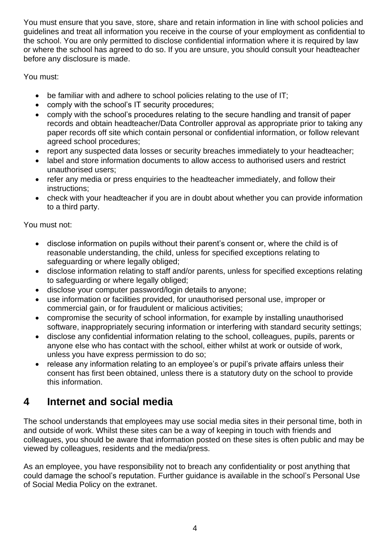You must ensure that you save, store, share and retain information in line with school policies and guidelines and treat all information you receive in the course of your employment as confidential to the school. You are only permitted to disclose confidential information where it is required by law or where the school has agreed to do so. If you are unsure, you should consult your headteacher before any disclosure is made.

You must:

- be familiar with and adhere to school policies relating to the use of IT;
- comply with the school's IT security procedures;
- comply with the school's procedures relating to the secure handling and transit of paper records and obtain headteacher/Data Controller approval as appropriate prior to taking any paper records off site which contain personal or confidential information, or follow relevant agreed school procedures;
- report any suspected data losses or security breaches immediately to your headteacher;
- label and store information documents to allow access to authorised users and restrict unauthorised users;
- refer any media or press enquiries to the headteacher immediately, and follow their instructions;
- check with your headteacher if you are in doubt about whether you can provide information to a third party.

You must not:

- disclose information on pupils without their parent's consent or, where the child is of reasonable understanding, the child, unless for specified exceptions relating to safeguarding or where legally obliged;
- disclose information relating to staff and/or parents, unless for specified exceptions relating to safeguarding or where legally obliged;
- disclose your computer password/login details to anyone;
- use information or facilities provided, for unauthorised personal use, improper or commercial gain, or for fraudulent or malicious activities;
- compromise the security of school information, for example by installing unauthorised software, inappropriately securing information or interfering with standard security settings;
- disclose any confidential information relating to the school, colleagues, pupils, parents or anyone else who has contact with the school, either whilst at work or outside of work, unless you have express permission to do so;
- release any information relating to an employee's or pupil's private affairs unless their consent has first been obtained, unless there is a statutory duty on the school to provide this information.

### <span id="page-3-0"></span>**4 Internet and social media**

The school understands that employees may use social media sites in their personal time, both in and outside of work. Whilst these sites can be a way of keeping in touch with friends and colleagues, you should be aware that information posted on these sites is often public and may be viewed by colleagues, residents and the media/press.

As an employee, you have responsibility not to breach any confidentiality or post anything that could damage the school's reputation. Further guidance is available in the school's Personal Use of Social Media Policy on the extranet.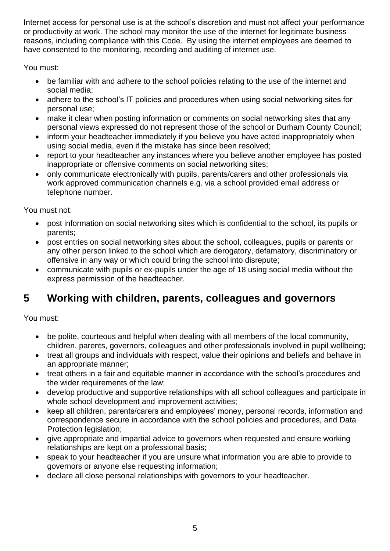Internet access for personal use is at the school's discretion and must not affect your performance or productivity at work. The school may monitor the use of the internet for legitimate business reasons, including compliance with this Code. By using the internet employees are deemed to have consented to the monitoring, recording and auditing of internet use.

You must:

- be familiar with and adhere to the school policies relating to the use of the internet and social media;
- adhere to the school's IT policies and procedures when using social networking sites for personal use;
- make it clear when posting information or comments on social networking sites that any personal views expressed do not represent those of the school or Durham County Council;
- inform your headteacher immediately if you believe you have acted inappropriately when using social media, even if the mistake has since been resolved;
- report to your headteacher any instances where you believe another employee has posted inappropriate or offensive comments on social networking sites;
- only communicate electronically with pupils, parents/carers and other professionals via work approved communication channels e.g. via a school provided email address or telephone number.

You must not:

- post information on social networking sites which is confidential to the school, its pupils or parents;
- post entries on social networking sites about the school, colleagues, pupils or parents or any other person linked to the school which are derogatory, defamatory, discriminatory or offensive in any way or which could bring the school into disrepute;
- communicate with pupils or ex-pupils under the age of 18 using social media without the express permission of the headteacher.

# <span id="page-4-0"></span>**5 Working with children, parents, colleagues and governors**

You must:

- be polite, courteous and helpful when dealing with all members of the local community, children, parents, governors, colleagues and other professionals involved in pupil wellbeing;
- treat all groups and individuals with respect, value their opinions and beliefs and behave in an appropriate manner;
- treat others in a fair and equitable manner in accordance with the school's procedures and the wider requirements of the law;
- develop productive and supportive relationships with all school colleagues and participate in whole school development and improvement activities;
- keep all children, parents/carers and employees' money, personal records, information and correspondence secure in accordance with the school policies and procedures, and Data Protection legislation;
- give appropriate and impartial advice to governors when requested and ensure working relationships are kept on a professional basis;
- speak to your headteacher if you are unsure what information you are able to provide to governors or anyone else requesting information;
- declare all close personal relationships with governors to your headteacher.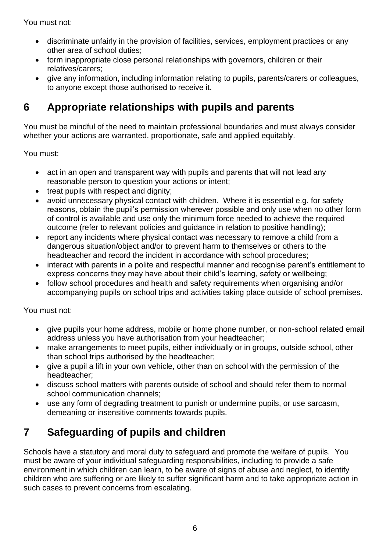You must not:

- discriminate unfairly in the provision of facilities, services, employment practices or any other area of school duties;
- form inappropriate close personal relationships with governors, children or their relatives/carers;
- give any information, including information relating to pupils, parents/carers or colleagues, to anyone except those authorised to receive it.

# <span id="page-5-0"></span>**6 Appropriate relationships with pupils and parents**

You must be mindful of the need to maintain professional boundaries and must always consider whether your actions are warranted, proportionate, safe and applied equitably.

You must:

- act in an open and transparent way with pupils and parents that will not lead any reasonable person to question your actions or intent;
- treat pupils with respect and dignity;
- avoid unnecessary physical contact with children. Where it is essential e.g. for safety reasons, obtain the pupil's permission wherever possible and only use when no other form of control is available and use only the minimum force needed to achieve the required outcome (refer to relevant policies and guidance in relation to positive handling);
- report any incidents where physical contact was necessary to remove a child from a dangerous situation/object and/or to prevent harm to themselves or others to the headteacher and record the incident in accordance with school procedures;
- interact with parents in a polite and respectful manner and recognise parent's entitlement to express concerns they may have about their child's learning, safety or wellbeing;
- follow school procedures and health and safety requirements when organising and/or accompanying pupils on school trips and activities taking place outside of school premises.

You must not:

- give pupils your home address, mobile or home phone number, or non-school related email address unless you have authorisation from your headteacher;
- make arrangements to meet pupils, either individually or in groups, outside school, other than school trips authorised by the headteacher;
- give a pupil a lift in your own vehicle, other than on school with the permission of the headteacher;
- discuss school matters with parents outside of school and should refer them to normal school communication channels;
- use any form of degrading treatment to punish or undermine pupils, or use sarcasm, demeaning or insensitive comments towards pupils.

# <span id="page-5-1"></span>**7 Safeguarding of pupils and children**

Schools have a statutory and moral duty to safeguard and promote the welfare of pupils. You must be aware of your individual safeguarding responsibilities, including to provide a safe environment in which children can learn, to be aware of signs of abuse and neglect, to identify children who are suffering or are likely to suffer significant harm and to take appropriate action in such cases to prevent concerns from escalating.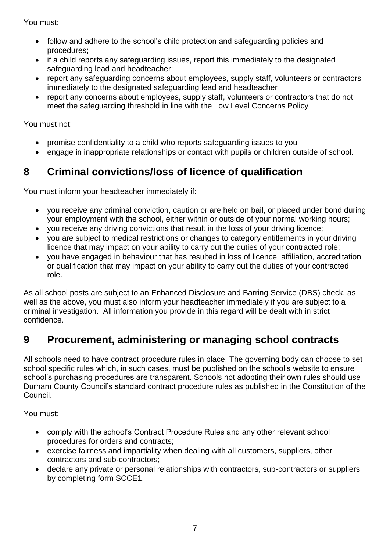You must:

- follow and adhere to the school's child protection and safeguarding policies and procedures;
- if a child reports any safeguarding issues, report this immediately to the designated safeguarding lead and headteacher;
- report any safeguarding concerns about employees, supply staff, volunteers or contractors immediately to the designated safeguarding lead and headteacher
- report any concerns about employees, supply staff, volunteers or contractors that do not meet the safeguarding threshold in line with the Low Level Concerns Policy

You must not:

- promise confidentiality to a child who reports safeguarding issues to you
- engage in inappropriate relationships or contact with pupils or children outside of school.

# <span id="page-6-0"></span>**8 Criminal convictions/loss of licence of qualification**

You must inform your headteacher immediately if:

- you receive any criminal conviction, caution or are held on bail, or placed under bond during your employment with the school, either within or outside of your normal working hours;
- you receive any driving convictions that result in the loss of your driving licence;
- you are subject to medical restrictions or changes to category entitlements in your driving licence that may impact on your ability to carry out the duties of your contracted role;
- you have engaged in behaviour that has resulted in loss of licence, affiliation, accreditation or qualification that may impact on your ability to carry out the duties of your contracted role.

As all school posts are subject to an Enhanced Disclosure and Barring Service (DBS) check, as well as the above, you must also inform your headteacher immediately if you are subject to a criminal investigation. All information you provide in this regard will be dealt with in strict confidence.

# <span id="page-6-1"></span>**9 Procurement, administering or managing school contracts**

All schools need to have contract procedure rules in place. The governing body can choose to set school specific rules which, in such cases, must be published on the school's website to ensure school's purchasing procedures are transparent. Schools not adopting their own rules should use Durham County Council's standard contract procedure rules as published in the Constitution of the Council.

You must:

- comply with the school's Contract Procedure Rules and any other relevant school procedures for orders and contracts;
- exercise fairness and impartiality when dealing with all customers, suppliers, other contractors and sub-contractors;
- declare any private or personal relationships with contractors, sub-contractors or suppliers by completing form SCCE1.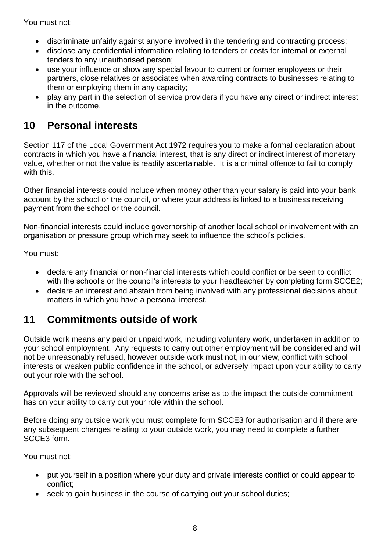You must not:

- discriminate unfairly against anyone involved in the tendering and contracting process;
- disclose any confidential information relating to tenders or costs for internal or external tenders to any unauthorised person;
- use your influence or show any special favour to current or former employees or their partners, close relatives or associates when awarding contracts to businesses relating to them or employing them in any capacity;
- play any part in the selection of service providers if you have any direct or indirect interest in the outcome.

# <span id="page-7-0"></span>**10 Personal interests**

Section 117 of the Local Government Act 1972 requires you to make a formal declaration about contracts in which you have a financial interest, that is any direct or indirect interest of monetary value, whether or not the value is readily ascertainable. It is a criminal offence to fail to comply with this.

Other financial interests could include when money other than your salary is paid into your bank account by the school or the council, or where your address is linked to a business receiving payment from the school or the council.

Non-financial interests could include governorship of another local school or involvement with an organisation or pressure group which may seek to influence the school's policies.

You must:

- declare any financial or non-financial interests which could conflict or be seen to conflict with the school's or the council's interests to your headteacher by completing form SCCE2;
- declare an interest and abstain from being involved with any professional decisions about matters in which you have a personal interest.

# <span id="page-7-1"></span>**11 Commitments outside of work**

Outside work means any paid or unpaid work, including voluntary work, undertaken in addition to your school employment. Any requests to carry out other employment will be considered and will not be unreasonably refused, however outside work must not, in our view, conflict with school interests or weaken public confidence in the school, or adversely impact upon your ability to carry out your role with the school.

Approvals will be reviewed should any concerns arise as to the impact the outside commitment has on your ability to carry out your role within the school.

Before doing any outside work you must complete form SCCE3 for authorisation and if there are any subsequent changes relating to your outside work, you may need to complete a further SCCE3 form.

You must not:

- put yourself in a position where your duty and private interests conflict or could appear to conflict;
- seek to gain business in the course of carrying out your school duties;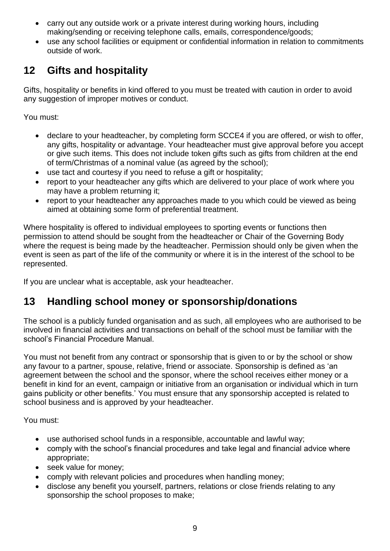- carry out any outside work or a private interest during working hours, including making/sending or receiving telephone calls, emails, correspondence/goods;
- use any school facilities or equipment or confidential information in relation to commitments outside of work.

### <span id="page-8-0"></span>**12 Gifts and hospitality**

Gifts, hospitality or benefits in kind offered to you must be treated with caution in order to avoid any suggestion of improper motives or conduct.

You must:

- declare to your headteacher, by completing form SCCE4 if you are offered, or wish to offer, any gifts, hospitality or advantage. Your headteacher must give approval before you accept or give such items. This does not include token gifts such as gifts from children at the end of term/Christmas of a nominal value (as agreed by the school);
- use tact and courtesy if you need to refuse a gift or hospitality;
- report to your headteacher any gifts which are delivered to your place of work where you may have a problem returning it;
- report to your headteacher any approaches made to you which could be viewed as being aimed at obtaining some form of preferential treatment.

Where hospitality is offered to individual employees to sporting events or functions then permission to attend should be sought from the headteacher or Chair of the Governing Body where the request is being made by the headteacher. Permission should only be given when the event is seen as part of the life of the community or where it is in the interest of the school to be represented.

If you are unclear what is acceptable, ask your headteacher.

# <span id="page-8-1"></span>**13 Handling school money or sponsorship/donations**

The school is a publicly funded organisation and as such, all employees who are authorised to be involved in financial activities and transactions on behalf of the school must be familiar with the school's Financial Procedure Manual.

You must not benefit from any contract or sponsorship that is given to or by the school or show any favour to a partner, spouse, relative, friend or associate. Sponsorship is defined as 'an agreement between the school and the sponsor, where the school receives either money or a benefit in kind for an event, campaign or initiative from an organisation or individual which in turn gains publicity or other benefits.' You must ensure that any sponsorship accepted is related to school business and is approved by your headteacher.

You must:

- use authorised school funds in a responsible, accountable and lawful way;
- comply with the school's financial procedures and take legal and financial advice where appropriate;
- seek value for money;
- comply with relevant policies and procedures when handling money;
- disclose any benefit you yourself, partners, relations or close friends relating to any sponsorship the school proposes to make;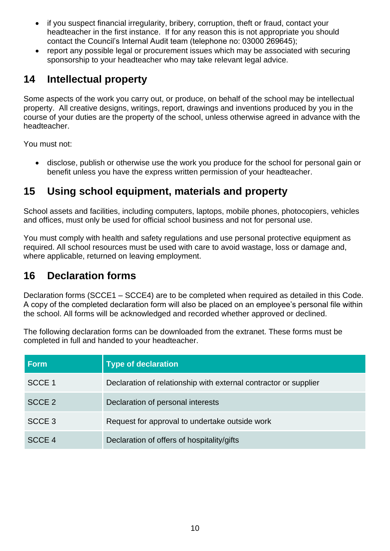- if you suspect financial irregularity, bribery, corruption, theft or fraud, contact your headteacher in the first instance. If for any reason this is not appropriate you should contact the Council's Internal Audit team (telephone no: 03000 269645);
- report any possible legal or procurement issues which may be associated with securing sponsorship to your headteacher who may take relevant legal advice.

### <span id="page-9-0"></span>**14 Intellectual property**

Some aspects of the work you carry out, or produce, on behalf of the school may be intellectual property. All creative designs, writings, report, drawings and inventions produced by you in the course of your duties are the property of the school, unless otherwise agreed in advance with the headteacher.

You must not:

• disclose, publish or otherwise use the work you produce for the school for personal gain or benefit unless you have the express written permission of your headteacher.

### <span id="page-9-1"></span>**15 Using school equipment, materials and property**

School assets and facilities, including computers, laptops, mobile phones, photocopiers, vehicles and offices, must only be used for official school business and not for personal use.

You must comply with health and safety regulations and use personal protective equipment as required. All school resources must be used with care to avoid wastage, loss or damage and, where applicable, returned on leaving employment.

### <span id="page-9-2"></span>**16 Declaration forms**

Declaration forms (SCCE1 – SCCE4) are to be completed when required as detailed in this Code. A copy of the completed declaration form will also be placed on an employee's personal file within the school. All forms will be acknowledged and recorded whether approved or declined.

The following declaration forms can be downloaded from the extranet. These forms must be completed in full and handed to your headteacher.

| <b>Form</b>       | <b>Type of declaration</b>                                       |
|-------------------|------------------------------------------------------------------|
| SCCE 1            | Declaration of relationship with external contractor or supplier |
| SCCE <sub>2</sub> | Declaration of personal interests                                |
| SCCE <sub>3</sub> | Request for approval to undertake outside work                   |
| SCCE <sub>4</sub> | Declaration of offers of hospitality/gifts                       |